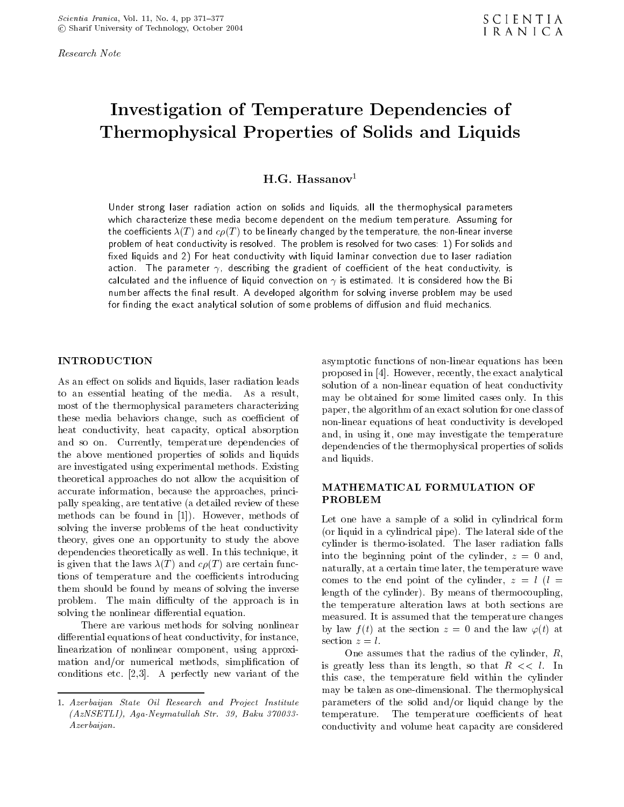Research Note

## Investigation of Temperature Dependencies of Thermophysical Properties of Solids and Liquids

 $H.G.$  Hassanov<sup>1</sup>

Under strong laser radiation action on solids and liquids, all the thermophysical parameters which characterize these media become dependent on the medium temperature. Assuming for the coefficients  $\lambda(T)$  and  $c\rho(T)$  to be linearly changed by the temperature, the non-linear inverse problem of heat conductivity is resolved. The problem is resolved for two cases: 1) For solids and fixed liquids and 2) For heat conductivity with liquid laminar convection due to laser radiation action. The parameter  $\gamma$ , describing the gradient of coefficient of the heat conductivity, is calculated and the influence of liquid convection on  $\gamma$  is estimated. It is considered how the Bi number affects the final result. A developed algorithm for solving inverse problem may be used for finding the exact analytical solution of some problems of diffusion and fluid mechanics.

As an effect on solids and liquids, laser radiation leads to an essential heating of the media. As <sup>a</sup> result, most of the thermophysical parameters characterizing these media behaviors change, such as coefficient of heat conductivity, heat capacity, optical absorption and so on. Currently, temperature dependencies of the above mentioned properties of solids and liquids are investigated using experimental methods. Existing theoretical approaches do not allow the acquisition of<br> **MATHEMATICAL FORMULATION OF** accurate information, because the approaches, principally speaking, are tentative (a detailed review of these methods can be found in [1]). However, methods of solving the inverse problems of the heat conductivity theory, gives one an opportunity to study the above dependencies theoretically as well. In this technique, it is given that the laws  $\lambda(T)$  and  $c\rho(T)$  are certain functions of temperature and the coefficients introducing them should be found by means of solving the inverse problem. The main difficulty of the approach is in solving the nonlinear differential equation.

There are various methods for solving nonlinear differential equations of heat conductivity, for instance, section  $z = l$ . linearization of nonlinear component, using approximation and/or numerical methods, simplification of conditions etc. [2,3]. <sup>A</sup> perfectly new variant of the

asymptotic functions of non-linear equations has been proposed in [4]. However, recently, the exact analytical solution of a non-linear equation of heat conductivity may be obtained for some limited cases only. In this paper, the algorithm of an exact solution for one class of non-linear equations of heat conductivity is developed and, in using it, one may investigate the temperature dependencies of the thermophysical properties of solids and liquids.

# PROBLEM

Let one have <sup>a</sup> sample of <sup>a</sup> solid in cylindrical form (or liquid in a cylindrical pipe). The lateral side of the cylinder is thermo-isolated. The laser radiation falls into the beginning point of the cylinder,  $z = 0$  and, naturally, at a certain time later, the temperature wave comes to the end point of the cylinder,  $z = l$  ( $l =$ length of the cylinder). By means of thermocoupling, the temperature alteration laws at both sections are measured. It is assumed that the temperature changes by law  $f(t)$  at the section  $z = 0$  and the law  $\varphi(t)$  at

One assumes that the radius of the cylinder, R, is greatly less than its length, so that  $R \ll l$ . In this case, the temperature field within the cylinder may be taken as one-dimensional. The thermophysical parameters of the solid and/or liquid change by the temperature. The temperature coefficients of heat conductivity and volume heat capacity are considered

<sup>1.</sup> Azerbaijan State Oil Research and Project Institute  $(AzNSETLI)$ , Aga-Neymatullah Str. 39, Baku 370033-Azerbaijan.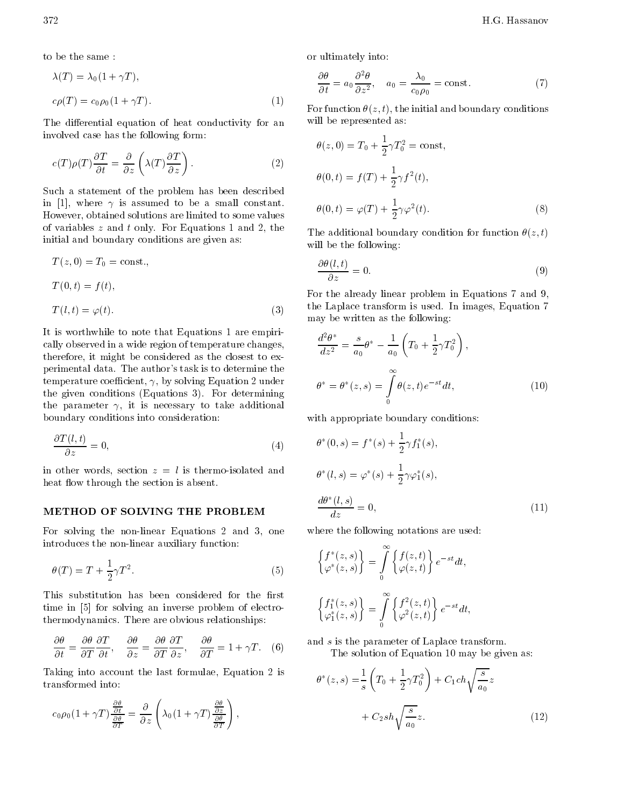to be the same :

$$
\lambda(T) = \lambda_0 (1 + \gamma T),
$$
  
\n
$$
c\rho(T) = c_0 \rho_0 (1 + \gamma T).
$$
\n(1)

The differential equation of heat conductivity for an involved case has the following form:

$$
c(T)\rho(T)\frac{\partial T}{\partial t} = \frac{\partial}{\partial z}\left(\lambda(T)\frac{\partial T}{\partial z}\right).
$$
 (2)

Such <sup>a</sup> statement of the problem has been described in [1], where  $\gamma$  is assumed to be a small constant. However, obtained solutions are limited to some values of variables  $z$  and  $t$  only. For Equations 1 and 2, the initial and boundary conditions are given as:

$$
T(z, 0) = T_0 = \text{const.},
$$
  
\n
$$
T(0, t) = f(t),
$$
  
\n
$$
T(l, t) = \varphi(t).
$$
\n(3)

It is worthwhile to note that Equations <sup>1</sup> are empirically observed in a wide region of temperature changes, therefore, it might be considered as the closest to experimental data. The author's task is to determine the temperature coefficient,  $\gamma$ , by solving Equation 2 under the given conditions (Equations 3). For determining the parameter  $\gamma$ , it is necessary to take additional boundary conditions into consideration:

$$
\frac{\partial T(l,t)}{\partial z} = 0,\t\t(4)
$$

in other words, section  $z = l$  is thermo-isolated and heat flow through the section is absent.

#### METHOD OF SOLVING THE PROBLEM

For solving the non-linear Equations <sup>2</sup> and 3, one introduces the non-linear auxiliary function:

$$
\theta(T) = T + \frac{1}{2}\gamma T^2. \tag{5}
$$

This substitution has been considered for the first time in [5] for solving an inverse problem of electrothermodynamics. There are obvious relationships:

$$
\frac{\partial \theta}{\partial t} = \frac{\partial \theta}{\partial T} \frac{\partial T}{\partial t}, \quad \frac{\partial \theta}{\partial z} = \frac{\partial \theta}{\partial T} \frac{\partial T}{\partial z}, \quad \frac{\partial \theta}{\partial T} = 1 + \gamma T. \quad (6)
$$

Taking into account the last formulae, Equation <sup>2</sup> is transformed into:

$$
c_0 \rho_0 (1 + \gamma T) \frac{\frac{\partial \theta}{\partial t}}{\frac{\partial \theta}{\partial T}} = \frac{\partial}{\partial z} \left( \lambda_0 (1 + \gamma T) \frac{\frac{\partial \theta}{\partial z}}{\frac{\partial \theta}{\partial T}} \right),
$$

or ultimately into:

$$
\frac{\partial \theta}{\partial t} = a_0 \frac{\partial^2 \theta}{\partial z^2}, \quad a_0 = \frac{\lambda_0}{c_0 \rho_0} = \text{const.}
$$
 (7)

For function  $\theta(z, t)$ , the initial and boundary conditions will be represented as:

$$
\theta(z,0) = T_0 + \frac{1}{2}\gamma T_0^2 = \text{const},
$$
  
\n
$$
\theta(0,t) = f(T) + \frac{1}{2}\gamma f^2(t),
$$
  
\n
$$
\theta(0,t) = \varphi(T) + \frac{1}{2}\gamma \varphi^2(t).
$$
\n(8)

The additional boundary condition for function  $\theta(z, t)$ will be the following:

$$
\frac{\partial \theta(l,t)}{\partial z} = 0. \tag{9}
$$

For the already linear problem in Equations 7 and 9, the Laplace transform is used. In images, Equation 7 may be written as the following:

$$
\frac{d^2\theta^*}{dz^2} = \frac{s}{a_0}\theta^* \frac{1}{a_0} \left(T_0 + \frac{1}{2}\gamma T_0^2\right),
$$
  

$$
\theta^* = \theta^*(z, s) = \int_0^\infty \theta(z, t)e^{-st}dt,
$$
 (10)

with appropriate boundary conditions:

$$
\theta^*(0, s) = f^*(s) + \frac{1}{2}\gamma f_1^*(s),
$$
  
\n
$$
\theta^*(l, s) = \varphi^*(s) + \frac{1}{2}\gamma\varphi_1^*(s),
$$
  
\n
$$
\frac{d\theta^*(l, s)}{dz} = 0,
$$
\n(11)

where the following notations are used:

$$
\begin{aligned}\n\left\{f^*(z,s)\right\} &= \int_0^\infty \left\{f(z,t)\right\} e^{-st} dt, \\
\left\{\varphi^*(z,s)\right\} &= \int_0^\infty \left\{f^2(z,t)\right\} e^{-st} dt, \\
\left\{\varphi_1^*(z,s)\right\} &= \int_0^\infty \left\{\varphi^2(z,t)\right\} e^{-st} dt,\n\end{aligned}
$$

and s is the parameter of Laplace transform. The solution of Equation 10 may be given as:

$$
\theta^*(z, s) = \frac{1}{s} \left( T_0 + \frac{1}{2} \gamma T_0^2 \right) + C_1 ch \sqrt{\frac{s}{a_0}} z \n+ C_2 sh \sqrt{\frac{s}{a_0}} z.
$$
\n(12)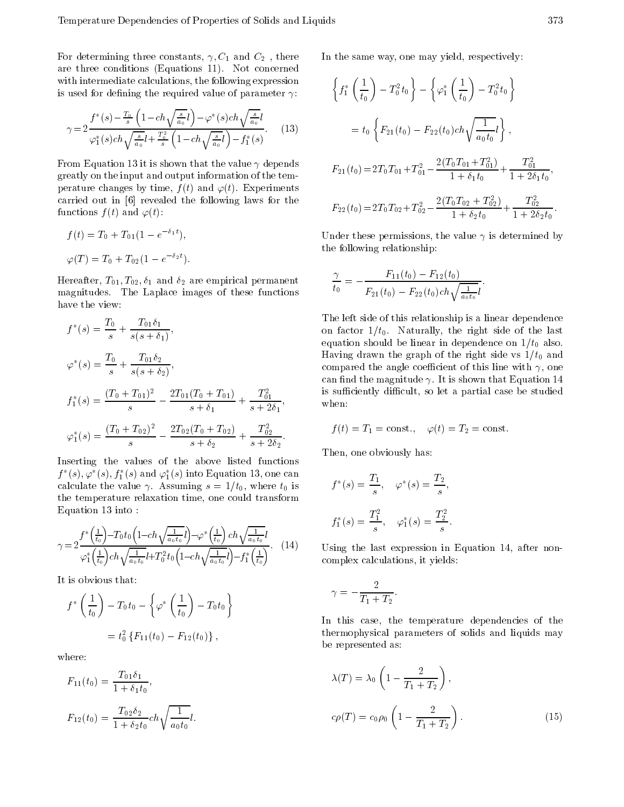For determining three constants,  $\gamma$ ,  $C_1$  and  $C_2$ , there are three conditions (Equations 11). Not concerned with intermediate calculations, the following expression is used for defining the required value of parameter  $\gamma$ :

$$
\gamma = 2 \frac{f^*(s) - \frac{T_0}{s} \left(1 - ch\sqrt{\frac{s}{a_0}l}\right) \varphi^*(s) ch\sqrt{\frac{s}{a_0}l}}{\varphi_1^*(s) ch\sqrt{\frac{s}{a_0}l + \frac{T_0^2}{s} \left(1 - ch\sqrt{\frac{s}{a_0}l}\right) f_1^*(s)}}.
$$
 (13)

From Equation 13 it is shown that the value  $\gamma$  depends greatly on the input and output information of the temperature changes by time,  $f(t)$  and  $\varphi(t)$ . Experiments carried out in [6] revealed the following laws for the functions  $f(t)$  and  $\varphi(t)$ :

$$
f(t) = T_0 + T_{01}(1 - e^{-\delta_1 t}),
$$
  

$$
\varphi(T) = T_0 + T_{02}(1 - e^{-\delta_2 t}).
$$

Hereafter,  $T_{01}$ ,  $T_{02}$ ,  $\delta_1$  and  $\delta_2$  are empirical permanent magnitudes. The Laplace images of these functions have the view:

$$
f^*(s) = \frac{T_0}{s} + \frac{T_{01}\delta_1}{s(s+\delta_1)},
$$
  
\n
$$
\varphi^*(s) = \frac{T_0}{s} + \frac{T_{01}\delta_2}{s(s+\delta_2)},
$$
  
\n
$$
f_1^*(s) = \frac{(T_0 + T_{01})^2}{s} - \frac{2T_{01}(T_0 + T_{01})}{s+\delta_1} + \frac{T_{01}^2}{s+2\delta_1},
$$
  
\n
$$
\varphi_1^*(s) = \frac{(T_0 + T_{02})^2}{s} - \frac{2T_{02}(T_0 + T_{02})}{s+\delta_2} + \frac{T_{02}^2}{s+2\delta_2}.
$$

Inserting the values of the above listed functions  $J^-(s), \varphi^-(s), J_1^-(s)$  and  $\varphi_1(s)$  into Equation 13, one can calculate the value  $\gamma$ . Assuming  $s = 1/t_0$ , where  $t_0$  is the temperature relaxation time, one could transform Equation 13 into :

$$
\gamma = 2 \frac{f^* \left(\frac{1}{t_0}\right) T_0 t_0 \left(1 \ c h \sqrt{\frac{1}{a_0 t_0}} l\right) \ \varphi^* \left(\frac{1}{t_0}\right) c h \sqrt{\frac{1}{a_0 t_0}} l}{\varphi_1^* \left(\frac{1}{t_0}\right) c h \sqrt{\frac{1}{a_0 t_0}} l + T_0^2 t_0 \left(1 \ c h \sqrt{\frac{1}{a_0 t_0}} l\right) \ f_1^* \left(\frac{1}{t_0}\right)}.
$$
 (14)

It is obvious that:

$$
f^*\left(\frac{1}{t_0}\right) T_0 t_0 \left\{ \varphi^*\left(\frac{1}{t_0}\right) T_0 t_0 \right\}
$$
  
=  $t_0^2 \left\{ F_{11}(t_0) F_{12}(t_0) \right\},$ 

where:

$$
F_{11}(t_0) = \frac{T_{01}\delta_1}{1 + \delta_1 t_0},
$$
  

$$
F_{12}(t_0) = \frac{T_{02}\delta_2}{1 + \delta_2 t_0} ch \sqrt{\frac{1}{a_0 t_0}} l.
$$

 $\overline{a}$  $\sim$  In the same way, one may yield, respectively:

$$
\left\{ f_1^* \left( \frac{1}{t_0} \right) T_0^2 t_0 \right\} \left\{ \varphi_1^* \left( \frac{1}{t_0} \right) T_0^2 t_0 \right\}
$$
  

$$
= t_0 \left\{ F_{21}(t_0) F_{22}(t_0) ch \sqrt{\frac{1}{a_0 t_0}} t \right\},
$$
  

$$
F_{21}(t_0) = 2T_0 T_{01} + T_{01}^2 \frac{2(T_0 T_{01} + T_{01}^2)}{1 + \delta_1 t_0} + \frac{T_{01}^2}{1 + 2\delta_1 t_0},
$$
  

$$
F_{22}(t_0) = 2T_0 T_{02} + T_{02}^2 \frac{2(T_0 T_{02} + T_{02}^2)}{1 + \delta_2 t_0} + \frac{T_{02}^2}{1 + 2\delta_2 t_0}.
$$

Under these permissions, the value  $\gamma$  is determined by the following relationship:

$$
\frac{\gamma}{t_0} = \frac{F_{11}(t_0) - F_{12}(t_0)}{F_{21}(t_0) - F_{22}(t_0)ch\sqrt{\frac{1}{a_0 t_0}}l}.
$$

The left side of this relationship is a linear dependence on factor  $1/t_0$ . Naturally, the right side of the last equation should be linear in dependence on  $1/t_0$  also. Having drawn the graph of the right side vs  $1/t_0$  and compared the angle coefficient of this line with  $\gamma$ , one can find the magnitude  $\gamma$ . It is shown that Equation 14 is sufficiently difficult, so let a partial case be studied when:

$$
f(t) = T_1 = \text{const.}, \quad \varphi(t) = T_2 = \text{const.}
$$

Then, one obviously has:

$$
f^*(s) = \frac{T_1}{s}, \quad \varphi^*(s) = \frac{T_2}{s},
$$
  

$$
f_1^*(s) = \frac{T_1^2}{s}, \quad \varphi_1^*(s) = \frac{T_2^2}{s}.
$$

Using the last expression in Equation 14, after noncomplex calculations, it yields:

$$
\gamma = \frac{2}{T_1 + T_2}.
$$

In this case, the temperature dependencies of the thermophysical parameters of solids and liquids may be represented as:

$$
\lambda(T) = \lambda_0 \left( 1 - \frac{2}{T_1 + T_2} \right),
$$
  

$$
c\rho(T) = c_0 \rho_0 \left( 1 - \frac{2}{T_1 + T_2} \right).
$$
 (15)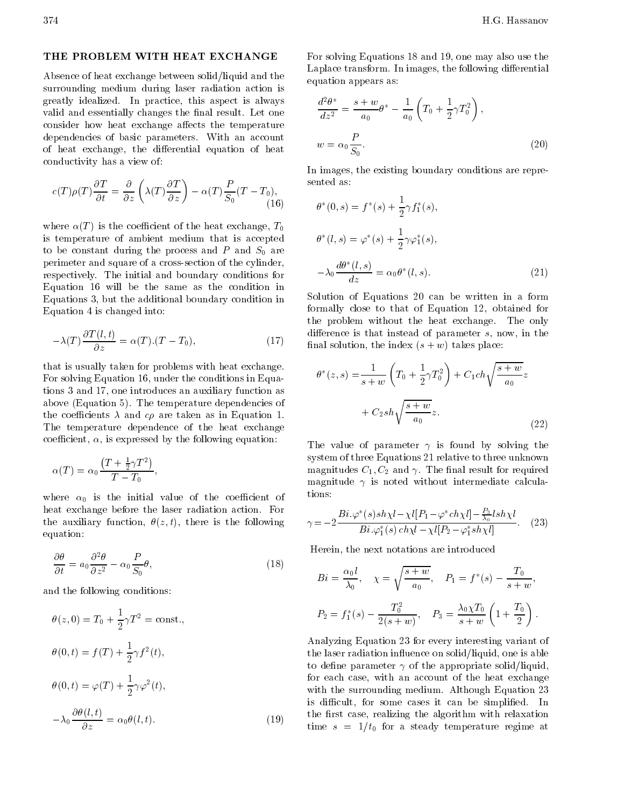#### THE PROBLEM WITH HEAT EXCHANGE

Absence of heat exchange between solid/liquid and the surrounding medium during laser radiation action is greatly idealized. In practice, this aspect is always valid and essentially changes the final result. Let one consider how heat exchange affects the temperature dependencies of basic parameters. With an account of heat exchange, the differential equation of heat conductivity has a view of:

$$
c(T)\rho(T)\frac{\partial T}{\partial t} = \frac{\partial}{\partial z}\left(\lambda(T)\frac{\partial T}{\partial z}\right) \quad \alpha(T)\frac{P}{S_0}(T - T_0),\tag{16}
$$

where  $\alpha(T)$  is the coefficient of the heat exchange,  $T_0$ is temperature of ambient medium that is accepted to be constant during the process and  $P$  and  $S_0$  are perimeter and square of a cross-section of the cylinder, respectively. The initial and boundary conditions for Equation <sup>16</sup> will be the same as the condition in Equations 3, but the additional boundary condition in Equation 4 is changed into:

$$
\lambda(T)\frac{\partial T(l,t)}{\partial z} = \alpha(T).(T - T_0),\tag{17}
$$

that is usually taken for problems with heat exchange. For solving Equation 16, under the conditions in Equations 3 and 17, one introduces an auxiliary function as above (Equation 5). The temperature dependencies of the coefficients  $\lambda$  and  $c\rho$  are taken as in Equation 1. The temperature dependence of the heat exchange coefficient,  $\alpha$ , is expressed by the following equation:

$$
\alpha(T) = \alpha_0 \frac{T + \frac{1}{2}\gamma T^2}{T - T_0},
$$

where  $\alpha_0$  is the initial value of the coefficient of heat exchange before the laser radiation action. For the auxiliary function,  $\theta(z, t)$ , there is the following equation:

$$
\frac{\partial \theta}{\partial t} = a_0 \frac{\partial^2 \theta}{\partial z^2} \qquad \alpha_0 \frac{P}{S_0} \theta,
$$
\n(18)

and the following conditions:

$$
\theta(z,0) = T_0 + \frac{1}{2}\gamma T^2 = \text{const.},
$$
  
\n
$$
\theta(0,t) = f(T) + \frac{1}{2}\gamma f^2(t),
$$
  
\n
$$
\theta(0,t) = \varphi(T) + \frac{1}{2}\gamma \varphi^2(t),
$$
  
\n
$$
\lambda_0 \frac{\partial \theta(l,t)}{\partial z} = \alpha_0 \theta(l,t).
$$
  
\n(19) t

For solving Equations 18 and 19, one may also use the Laplace transform. In images, the following differential equation appears as:

$$
\frac{d^2\theta^*}{dz^2} = \frac{s+w}{a_0}\theta^* \quad \frac{1}{a_0} \left(T_0 + \frac{1}{2}\gamma T_0^2\right),
$$
  

$$
w = \alpha_0 \frac{P}{S_0}.
$$
 (20)

In images, the existing boundary conditions are repre-

$$
\theta^*(0, s) = f^*(s) + \frac{1}{2} \gamma f_1^*(s),
$$
  
\n
$$
\theta^*(l, s) = \varphi^*(s) + \frac{1}{2} \gamma \varphi_1^*(s),
$$
  
\n
$$
\lambda_0 \frac{d\theta^*(l, s)}{dz} = \alpha_0 \theta^*(l, s).
$$
\n(21)

Solution of Equations <sup>20</sup> can be written in <sup>a</sup> form formally close to that of Equation 12, obtained for the problem without the heat exchange. The only difference is that instead of parameter  $s$ , now, in the final solution, the index  $(s + w)$  takes place:

$$
\theta^*(z, s) = \frac{1}{s+w} \left( T_0 + \frac{1}{2} \gamma T_0^2 \right) + C_1 ch \sqrt{\frac{s+w}{a_0}} z + C_2 sh \sqrt{\frac{s+w}{a_0}} z.
$$
\n(22)

The value of parameter  $\gamma$  is found by solving the system of three Equations 21 relative to three unknown magnitudes  $C_1, C_2$  and  $\gamma$ . The final result for required magnitude  $\gamma$  is noted without intermediate calculations:

$$
\gamma = 2 \frac{Bi.\varphi^*(s)sh\chi l \chi l[P_1 \varphi^* ch\chi l] \frac{P_3}{\lambda_0}lsh\chi l}{Bi.\varphi_1^*(s) ch\chi l \chi l[P_2 \varphi_1^* sh\chi l]}.
$$
 (23)

Herein, the next notations are introduced

$$
Bi = \frac{\alpha_0 l}{\lambda_0}, \quad \chi = \sqrt{\frac{s+w}{a_0}}, \quad P_1 = f^*(s) \quad \frac{T_0}{s+w},
$$

$$
P_2 = f_1^*(s) \quad \frac{T_0^2}{2(s+w)}, \quad P_3 = \frac{\lambda_0 \chi T_0}{s+w} \left(1 + \frac{T_0}{2}\right).
$$

Analyzing Equation 23 for every interesting variant of the laser radiation influence on solid/liquid, one is able to define parameter  $\gamma$  of the appropriate solid/liquid, for each case, with an account of the heat exchange with the surrounding medium. Although Equation 23 is difficult, for some cases it can be simplified. In the first case, realizing the algorithm with relaxation time  $s = 1/t_0$  for a steady temperature regime at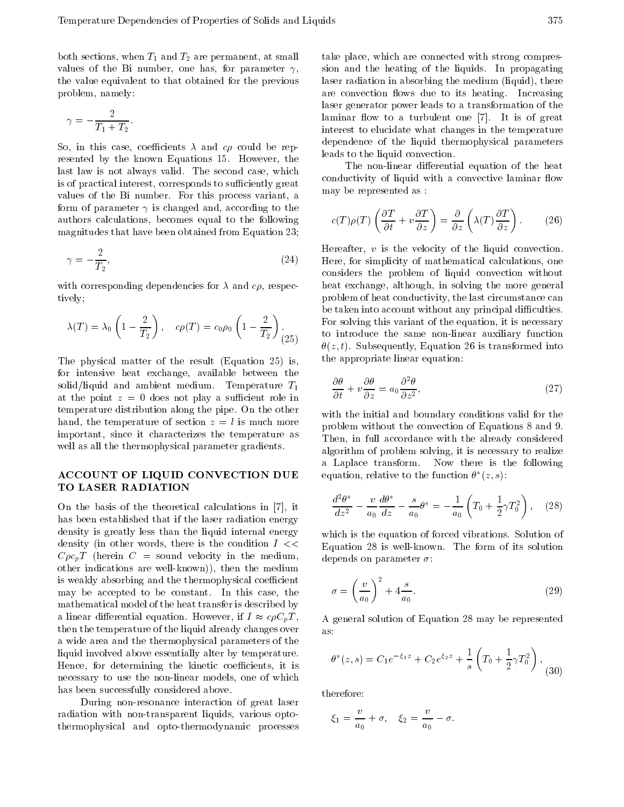both sections, when  $T_1$  and  $T_2$  are permanent, at small values of the Bi number, one has, for parameter  $\gamma$ , the value equivalent to that obtained for the previous problem, namely:

$$
\gamma = \frac{2}{T_1 + T_2}.
$$

So, in this case, coefficients  $\lambda$  and  $c\rho$  could be represented by the known Equations 15. However, the last law is not always valid. The second case, which is of practical interest, corresponds to sufficiently great values of the Bi number. For this process variant, <sup>a</sup> form of parameter  $\gamma$  is changed and, according to the authors calculations, becomes equal to the following magnitudes that have been obtained from Equation 23;

$$
\gamma = \frac{2}{T_2},\tag{24}
$$

with corresponding dependencies for  $\lambda$  and  $c\rho$ , respectively;

$$
\lambda(T) = \lambda_0 \left( 1 - \frac{2}{T_2} \right), \quad c\rho(T) = c_0 \rho_0 \left( 1 - \frac{2}{T_2} \right).
$$

The physical matter of the result (Equation 25) is, for intensive heat exchange, available between the solid/liquid and ambient medium. Temperature  $T_1$ at the point  $z = 0$  does not play a sufficient role in temperature distribution along the pipe. On the other hand, the temperature of section  $z = l$  is much more important, since it characterizes the temperature as well as all the thermophysical parameter gradients.

### ACCOUNT OF LIQUID CONVECTION DUE TO LASER RADIATION

On the basis of the theoretical calculations in [7], it has been established that if the laser radiation energy density is greatly less than the liquid internal energy density (in other words, there is the condition  $I \ll$  $C\rho c_nT$  (herein  $C =$  sound velocity in the medium, other indications are well-known)), then the medium is weakly absorbing and the thermophysical coefficient may be accepted to be constant. In this case, the mathematical model of the heat transfer is described by a linear differential equation. However, if  $I \approx c \rho C_p T$ , contribution of the liquid already changes over  $\frac{1}{2}$  as <sup>a</sup> wide area and the thermophysical parameters of the liquid involved above essentially alter by temperature. Hence, for determining the kinetic coefficients, it is necessary to use the non-linear models, one of which has been successfully considered above.

During non-resonance interaction of great laser radiation with non-transparent liquids, various optothermophysical and opto-thermodynamic processes

take place, which are connected with strong compression and the heating of the liquids. In propagating laser radiation in absorbing the medium (liquid), there are convection flows due to its heating. Increasing laser generator power leads to a transformation of the laminar flow to a turbulent one [7]. It is of great interest to elucidate what changes in the temperature dependence of the liquid thermophysical parameters leads to the liquid convection.

The non-linear differential equation of the heat conductivity of liquid with a convective laminar flow may be represented as :

$$
c(T)\rho(T)\left(\frac{\partial T}{\partial t} + v\frac{\partial T}{\partial z}\right) = \frac{\partial}{\partial z}\left(\lambda(T)\frac{\partial T}{\partial z}\right). \tag{26}
$$

 $(25)$  to introduce the same non-linear auxiliary function Hereafter,  $v$  is the velocity of the liquid convection. Here, for simplicity of mathematical calculations, one considers the problem of liquid convection without heat exchange, although, in solving the more general problem of heat conductivity, the last circumstance can be taken into account without any principal difficulties. For solving this variant of the equation, it is necessary  $\theta(z, t)$ . Subsequently, Equation 26 is transformed into the appropriate linear equation:

$$
\frac{\partial \theta}{\partial t} + v \frac{\partial \theta}{\partial z} = a_0 \frac{\partial^2 \theta}{\partial z^2},\tag{27}
$$

with the initial and boundary conditions valid for the problem without the convection of Equations 8 and 9. Then, in full accordance with the already considered algorithm of problem solving, it is necessary to realize <sup>a</sup> Laplace transform. Now there is the following equation, relative to the function  $\sigma$  ( $z, s$ ):

$$
\frac{d^2\theta^*}{dz^2} \quad \frac{v}{a_0}\frac{d\theta^*}{dz} \quad \frac{s}{a_0}\theta^* = \quad \frac{1}{a_0}\left(T_0 + \frac{1}{2}\gamma T_0^2\right), \quad (28)
$$

which is the equation of forced vibrations. Solution of Equation <sup>28</sup> is well-known. The form of its solution depends on parameter  $\sigma$ :

$$
\sigma = \left(\frac{v}{a_0}\right)^2 + 4\frac{s}{a_0}.\tag{29}
$$

<sup>A</sup> general solution of Equation 28 may be represented

$$
\theta^*(z,s) = C_1 e^{-\xi_1 z} + C_2 e^{\xi_2 z} + \frac{1}{s} \left( T_0 + \frac{1}{2} \gamma T_0^2 \right), \tag{30}
$$

therefore:

$$
\xi_1 = \frac{v}{a_0} + \sigma, \quad \xi_2 = \frac{v}{a_0} \quad \sigma.
$$